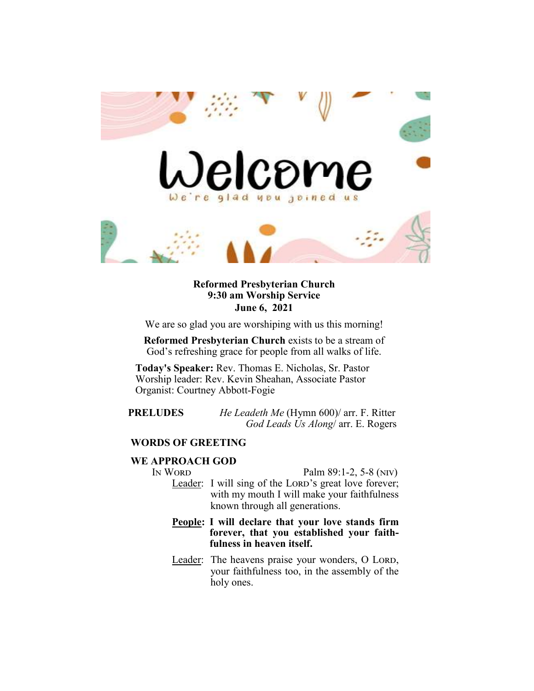

**Reformed Presbyterian Church 9:30 am Worship Service June 6, 2021** 

We are so glad you are worshiping with us this morning!

**Reformed Presbyterian Church** exists to be a stream of God's refreshing grace for people from all walks of life.

**Today's Speaker:** Rev. Thomas E. Nicholas, Sr. Pastor Worship leader: Rev. Kevin Sheahan, Associate Pastor Organist: Courtney Abbott-Fogie

**PRELUDES** *He Leadeth Me* (Hymn 600)/ arr. F. Ritter  *God Leads Us Along*/ arr. E. Rogers

#### **WORDS OF GREETING**

## **WE APPROACH GOD**<br>IN WORD

Palm  $89:1-2, 5-8$  (NIV) Leader: I will sing of the LORD's great love forever; with my mouth I will make your faithfulness known through all generations.

**People: I will declare that your love stands firm forever, that you established your faithfulness in heaven itself.** 

Leader: The heavens praise your wonders, O LORD, your faithfulness too, in the assembly of the holy ones.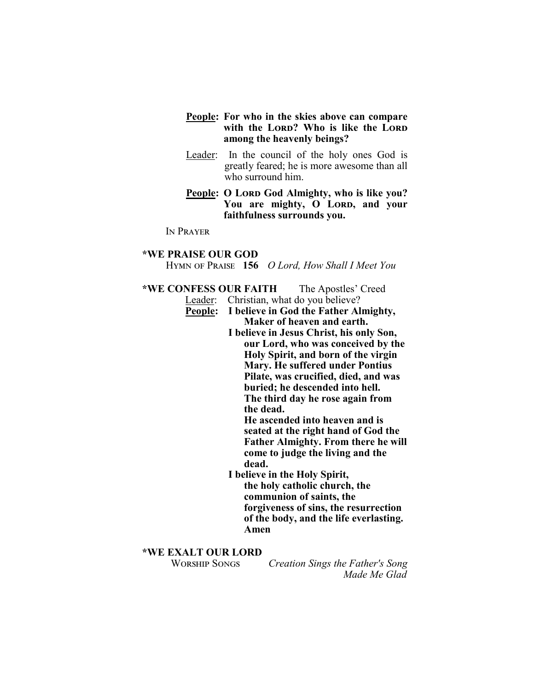#### **People: For who in the skies above can compare**  with the LORD? Who is like the LORD **among the heavenly beings?**

Leader: In the council of the holy ones God is greatly feared; he is more awesome than all who surround him.

#### People: O LORD God Almighty, who is like you? You are mighty, O LORD, and your **faithfulness surrounds you.**

IN PRAYER

#### **\*WE PRAISE OUR GOD**

HYMN OF PRAISE 156 *O Lord, How Shall I Meet You* 

**\*WE CONFESS OUR FAITH** The Apostles' Creed

- Leader: Christian, what do you believe?<br>**People:** I believe in God the Father Al **Figure: I believe in God the Father Almighty, Maker of heaven and earth.**
	- **I believe in Jesus Christ, his only Son, our Lord, who was conceived by the Holy Spirit, and born of the virgin Mary. He suffered under Pontius Pilate, was crucified, died, and was buried; he descended into hell. The third day he rose again from the dead.**

**He ascended into heaven and is seated at the right hand of God the Father Almighty. From there he will come to judge the living and the dead.**

**I believe in the Holy Spirit, the holy catholic church, the communion of saints, the forgiveness of sins, the resurrection of the body, and the life everlasting. Amen**

## **\*WE EXALT OUR LORD**

*Creation Sings the Father's Song Made Me Glad*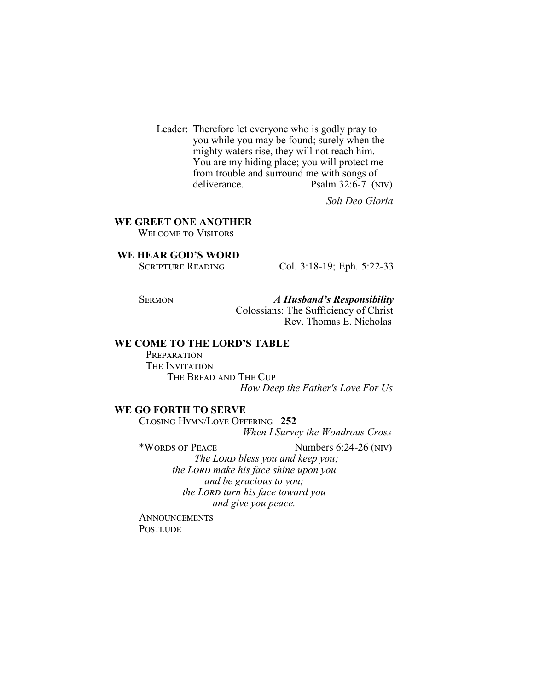Leader: Therefore let everyone who is godly pray to you while you may be found; surely when the mighty waters rise, they will not reach him. You are my hiding place; you will protect me from trouble and surround me with songs of<br>deliverance. Psalm 32:6-7 (N Psalm 32:6-7 (NIV)

*Soli Deo Gloria*

#### **WE GREET ONE ANOTHER**

WELCOME TO VISITORS

#### **WE HEAR GOD'S WORD**

SCRIPTURE READING Col. 3:18-19; Eph. 5:22-33

SERMON *A Husband's Responsibility* Colossians: The Sufficiency of Christ

Rev. Thomas E. Nicholas

#### **WE COME TO THE LORD'S TABLE**

PREPARATION THE INVITATION THE BREAD AND THE CUP *How Deep the Father's Love For Us*

#### **WE GO FORTH TO SERVE**

CLOSING HYMN/LOVE OFFERING 252 *When I Survey the Wondrous Cross*

 $*$ WORDS OF PEACE Numbers 6:24-26 (NIV) *The LORD bless you and keep you; the LORD make his face shine upon you and be gracious to you; the LORD turn his face toward you and give you peace.* 

ANNOUNCEMENTS POSTLUDE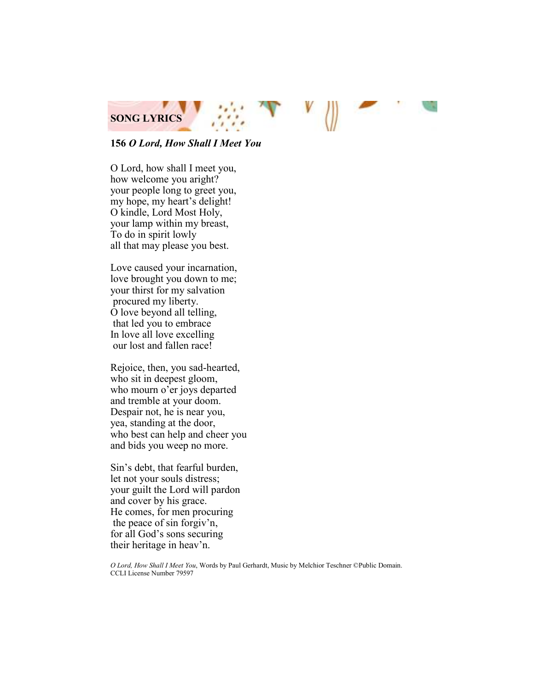# **SONG LYRIC**

#### **156** *O Lord, How Shall I Meet You*

O Lord, how shall I meet you, how welcome you aright? your people long to greet you, my hope, my heart's delight! O kindle, Lord Most Holy, your lamp within my breast, To do in spirit lowly all that may please you best.

Love caused your incarnation, love brought you down to me; your thirst for my salvation procured my liberty. O love beyond all telling, that led you to embrace In love all love excelling our lost and fallen race!

Rejoice, then, you sad-hearted, who sit in deepest gloom, who mourn o'er joys departed and tremble at your doom. Despair not, he is near you, yea, standing at the door, who best can help and cheer you and bids you weep no more.

Sin's debt, that fearful burden, let not your souls distress; your guilt the Lord will pardon and cover by his grace. He comes, for men procuring the peace of sin forgiv'n, for all God's sons securing their heritage in heav'n.

*O Lord, How Shall I Meet You*, Words by Paul Gerhardt, Music by Melchior Teschner ©Public Domain. CCLI License Number 79597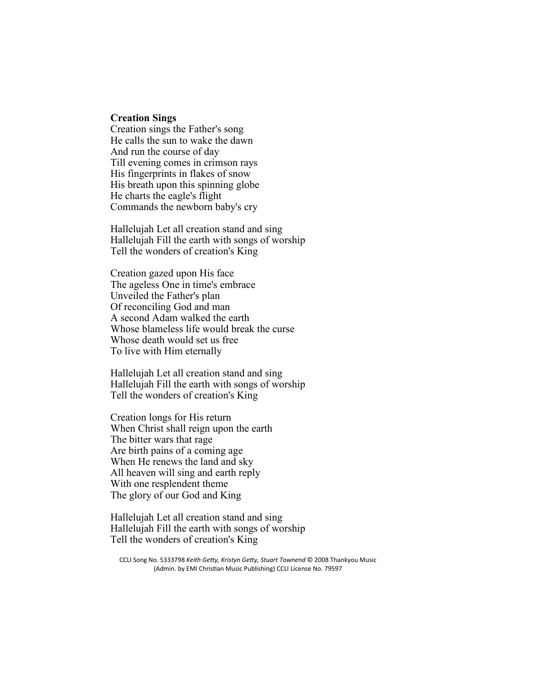#### **Creation Sings**

Creation sings the Father's song He calls the sun to wake the dawn And run the course of day Till evening comes in crimson rays His fingerprints in flakes of snow His breath upon this spinning globe He charts the eagle's flight Commands the newborn baby's cry

Hallelujah Let all creation stand and sing Hallelujah Fill the earth with songs of worship Tell the wonders of creation's King

Creation gazed upon His face The ageless One in time's embrace Unveiled the Father's plan Of reconciling God and man A second Adam walked the earth Whose blameless life would break the curse Whose death would set us free To live with Him eternally

Hallelujah Let all creation stand and sing Hallelujah Fill the earth with songs of worship Tell the wonders of creation's King

Creation longs for His return When Christ shall reign upon the earth The bitter wars that rage Are birth pains of a coming age When He renews the land and sky All heaven will sing and earth reply With one resplendent theme The glory of our God and King

Hallelujah Let all creation stand and sing Hallelujah Fill the earth with songs of worship Tell the wonders of creation's King

CCLI Song No. 5333798 Keith Getty, Kristyn Getty, Stuart Townend © 2008 Thankyou Music (Admin. by EMI Christian Music Publishing) CCLI License No. 79597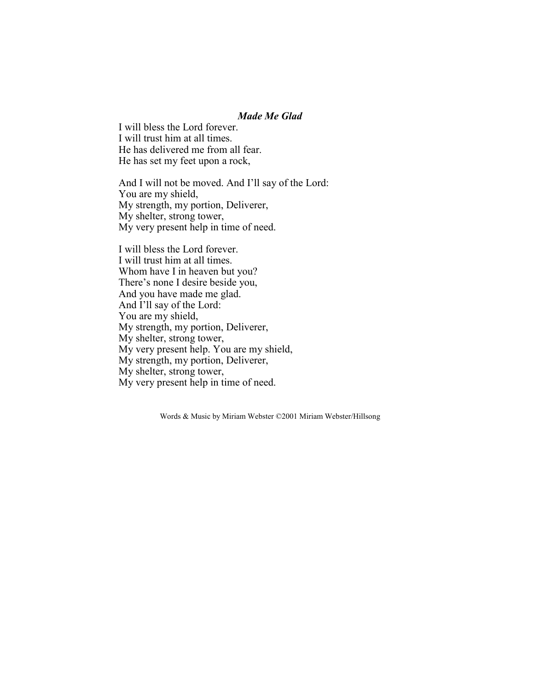#### *Made Me Glad*

I will bless the Lord forever. I will trust him at all times. He has delivered me from all fear. He has set my feet upon a rock,

And I will not be moved. And I'll say of the Lord: You are my shield, My strength, my portion, Deliverer, My shelter, strong tower, My very present help in time of need.

I will bless the Lord forever. I will trust him at all times. Whom have I in heaven but you? There's none I desire beside you, And you have made me glad. And I'll say of the Lord: You are my shield, My strength, my portion, Deliverer, My shelter, strong tower, My very present help. You are my shield, My strength, my portion, Deliverer, My shelter, strong tower, My very present help in time of need.

Words & Music by Miriam Webster ©2001 Miriam Webster/Hillsong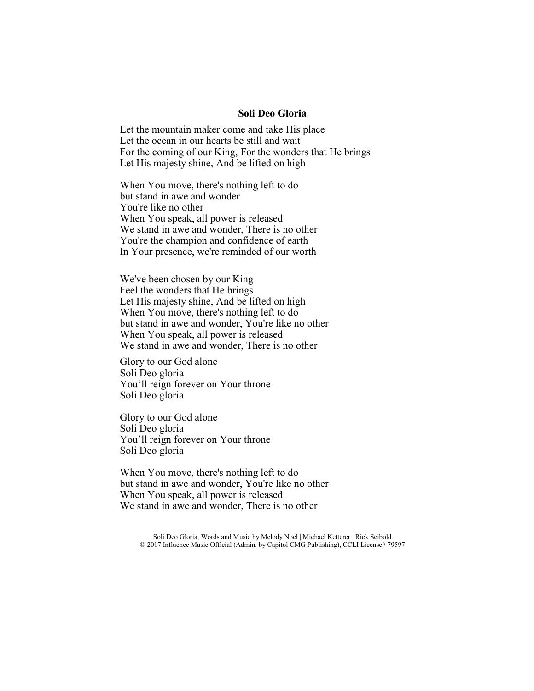#### **Soli Deo Gloria**

Let the mountain maker come and take His place Let the ocean in our hearts be still and wait For the coming of our King, For the wonders that He brings Let His majesty shine, And be lifted on high

When You move, there's nothing left to do but stand in awe and wonder You're like no other When You speak, all power is released We stand in awe and wonder, There is no other You're the champion and confidence of earth In Your presence, we're reminded of our worth

We've been chosen by our King Feel the wonders that He brings Let His majesty shine, And be lifted on high When You move, there's nothing left to do but stand in awe and wonder, You're like no other When You speak, all power is released We stand in awe and wonder, There is no other

Glory to our God alone Soli Deo gloria You'll reign forever on Your throne Soli Deo gloria

Glory to our God alone Soli Deo gloria You'll reign forever on Your throne Soli Deo gloria

When You move, there's nothing left to do but stand in awe and wonder, You're like no other When You speak, all power is released We stand in awe and wonder, There is no other

Soli Deo Gloria, Words and Music by Melody Noel | Michael Ketterer | Rick Seibold © 2017 Influence Music Official (Admin. by Capitol CMG Publishing), CCLI License# 79597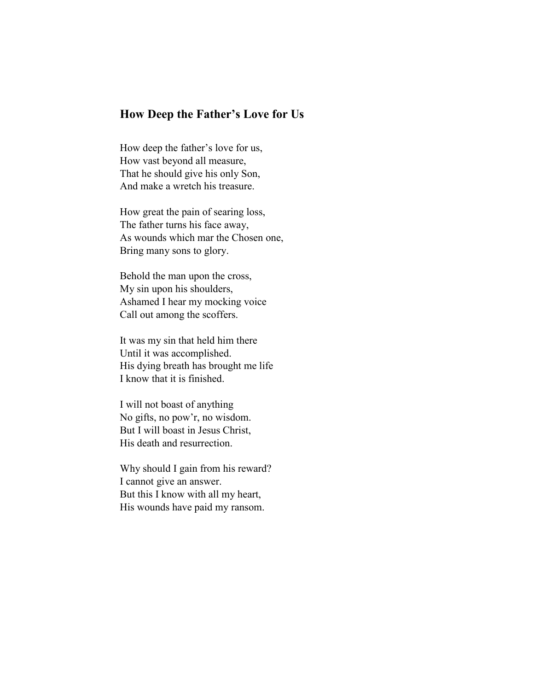### **How Deep the Father's Love for Us**

How deep the father's love for us, How vast beyond all measure, That he should give his only Son, And make a wretch his treasure.

How great the pain of searing loss, The father turns his face away, As wounds which mar the Chosen one, Bring many sons to glory.

Behold the man upon the cross, My sin upon his shoulders, Ashamed I hear my mocking voice Call out among the scoffers.

It was my sin that held him there Until it was accomplished. His dying breath has brought me life I know that it is finished.

I will not boast of anything No gifts, no pow'r, no wisdom. But I will boast in Jesus Christ, His death and resurrection.

Why should I gain from his reward? I cannot give an answer. But this I know with all my heart, His wounds have paid my ransom.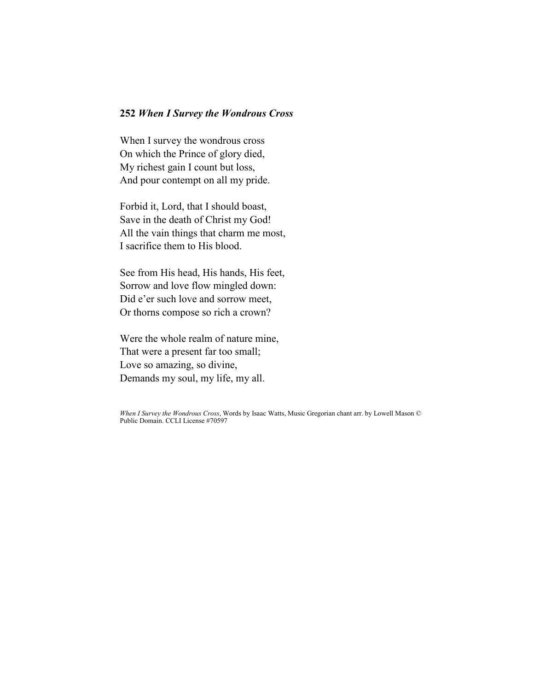#### **252** *When I Survey the Wondrous Cross*

When I survey the wondrous cross On which the Prince of glory died, My richest gain I count but loss, And pour contempt on all my pride.

Forbid it, Lord, that I should boast, Save in the death of Christ my God! All the vain things that charm me most, I sacrifice them to His blood.

See from His head, His hands, His feet, Sorrow and love flow mingled down: Did e'er such love and sorrow meet, Or thorns compose so rich a crown?

Were the whole realm of nature mine, That were a present far too small; Love so amazing, so divine, Demands my soul, my life, my all.

*When I Survey the Wondrous Cross*, Words by Isaac Watts, Music Gregorian chant arr. by Lowell Mason © Public Domain. CCLI License #70597